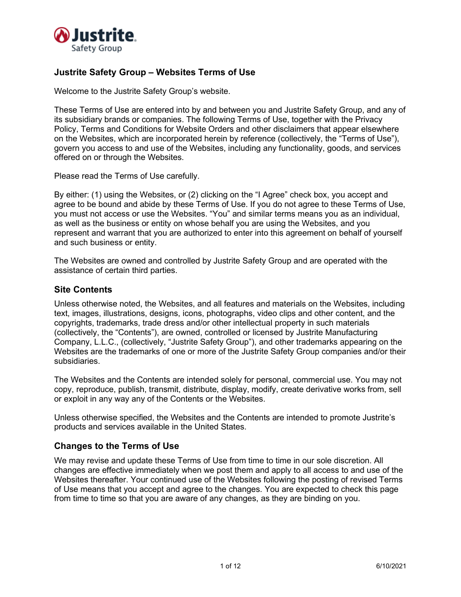

# **Justrite Safety Group – Websites Terms of Use**

Welcome to the Justrite Safety Group's website.

These Terms of Use are entered into by and between you and Justrite Safety Group, and any of its subsidiary brands or companies. The following Terms of Use, together with the Privacy Policy, Terms and Conditions for Website Orders and other disclaimers that appear elsewhere on the Websites, which are incorporated herein by reference (collectively, the "Terms of Use"), govern you access to and use of the Websites, including any functionality, goods, and services offered on or through the Websites.

Please read the Terms of Use carefully.

By either: (1) using the Websites, or (2) clicking on the "I Agree" check box, you accept and agree to be bound and abide by these Terms of Use. If you do not agree to these Terms of Use, you must not access or use the Websites. "You" and similar terms means you as an individual, as well as the business or entity on whose behalf you are using the Websites, and you represent and warrant that you are authorized to enter into this agreement on behalf of yourself and such business or entity.

The Websites are owned and controlled by Justrite Safety Group and are operated with the assistance of certain third parties.

### **Site Contents**

Unless otherwise noted, the Websites, and all features and materials on the Websites, including text, images, illustrations, designs, icons, photographs, video clips and other content, and the copyrights, trademarks, trade dress and/or other intellectual property in such materials (collectively, the "Contents"), are owned, controlled or licensed by Justrite Manufacturing Company, L.L.C., (collectively, "Justrite Safety Group"), and other trademarks appearing on the Websites are the trademarks of one or more of the Justrite Safety Group companies and/or their subsidiaries.

The Websites and the Contents are intended solely for personal, commercial use. You may not copy, reproduce, publish, transmit, distribute, display, modify, create derivative works from, sell or exploit in any way any of the Contents or the Websites.

Unless otherwise specified, the Websites and the Contents are intended to promote Justrite's products and services available in the United States.

### **Changes to the Terms of Use**

We may revise and update these Terms of Use from time to time in our sole discretion. All changes are effective immediately when we post them and apply to all access to and use of the Websites thereafter. Your continued use of the Websites following the posting of revised Terms of Use means that you accept and agree to the changes. You are expected to check this page from time to time so that you are aware of any changes, as they are binding on you.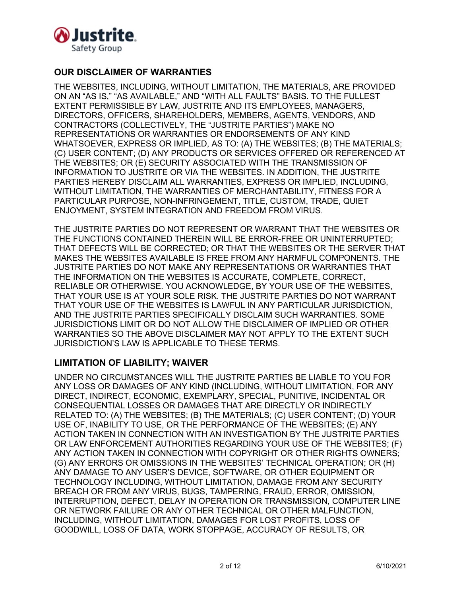

# **OUR DISCLAIMER OF WARRANTIES**

THE WEBSITES, INCLUDING, WITHOUT LIMITATION, THE MATERIALS, ARE PROVIDED ON AN "AS IS," "AS AVAILABLE," AND "WITH ALL FAULTS" BASIS. TO THE FULLEST EXTENT PERMISSIBLE BY LAW, JUSTRITE AND ITS EMPLOYEES, MANAGERS, DIRECTORS, OFFICERS, SHAREHOLDERS, MEMBERS, AGENTS, VENDORS, AND CONTRACTORS (COLLECTIVELY, THE "JUSTRITE PARTIES") MAKE NO REPRESENTATIONS OR WARRANTIES OR ENDORSEMENTS OF ANY KIND WHATSOEVER, EXPRESS OR IMPLIED, AS TO: (A) THE WEBSITES; (B) THE MATERIALS; (C) USER CONTENT; (D) ANY PRODUCTS OR SERVICES OFFERED OR REFERENCED AT THE WEBSITES; OR (E) SECURITY ASSOCIATED WITH THE TRANSMISSION OF INFORMATION TO JUSTRITE OR VIA THE WEBSITES. IN ADDITION, THE JUSTRITE PARTIES HEREBY DISCLAIM ALL WARRANTIES, EXPRESS OR IMPLIED, INCLUDING, WITHOUT LIMITATION, THE WARRANTIES OF MERCHANTABILITY, FITNESS FOR A PARTICULAR PURPOSE, NON-INFRINGEMENT, TITLE, CUSTOM, TRADE, QUIET ENJOYMENT, SYSTEM INTEGRATION AND FREEDOM FROM VIRUS.

THE JUSTRITE PARTIES DO NOT REPRESENT OR WARRANT THAT THE WEBSITES OR THE FUNCTIONS CONTAINED THEREIN WILL BE ERROR-FREE OR UNINTERRUPTED; THAT DEFECTS WILL BE CORRECTED; OR THAT THE WEBSITES OR THE SERVER THAT MAKES THE WEBSITES AVAILABLE IS FREE FROM ANY HARMFUL COMPONENTS. THE JUSTRITE PARTIES DO NOT MAKE ANY REPRESENTATIONS OR WARRANTIES THAT THE INFORMATION ON THE WEBSITES IS ACCURATE, COMPLETE, CORRECT, RELIABLE OR OTHERWISE. YOU ACKNOWLEDGE, BY YOUR USE OF THE WEBSITES, THAT YOUR USE IS AT YOUR SOLE RISK. THE JUSTRITE PARTIES DO NOT WARRANT THAT YOUR USE OF THE WEBSITES IS LAWFUL IN ANY PARTICULAR JURISDICTION, AND THE JUSTRITE PARTIES SPECIFICALLY DISCLAIM SUCH WARRANTIES. SOME JURISDICTIONS LIMIT OR DO NOT ALLOW THE DISCLAIMER OF IMPLIED OR OTHER WARRANTIES SO THE ABOVE DISCLAIMER MAY NOT APPLY TO THE EXTENT SUCH JURISDICTION'S LAW IS APPLICABLE TO THESE TERMS.

## **LIMITATION OF LIABILITY; WAIVER**

UNDER NO CIRCUMSTANCES WILL THE JUSTRITE PARTIES BE LIABLE TO YOU FOR ANY LOSS OR DAMAGES OF ANY KIND (INCLUDING, WITHOUT LIMITATION, FOR ANY DIRECT, INDIRECT, ECONOMIC, EXEMPLARY, SPECIAL, PUNITIVE, INCIDENTAL OR CONSEQUENTIAL LOSSES OR DAMAGES THAT ARE DIRECTLY OR INDIRECTLY RELATED TO: (A) THE WEBSITES; (B) THE MATERIALS; (C) USER CONTENT; (D) YOUR USE OF, INABILITY TO USE, OR THE PERFORMANCE OF THE WEBSITES; (E) ANY ACTION TAKEN IN CONNECTION WITH AN INVESTIGATION BY THE JUSTRITE PARTIES OR LAW ENFORCEMENT AUTHORITIES REGARDING YOUR USE OF THE WEBSITES; (F) ANY ACTION TAKEN IN CONNECTION WITH COPYRIGHT OR OTHER RIGHTS OWNERS; (G) ANY ERRORS OR OMISSIONS IN THE WEBSITES' TECHNICAL OPERATION; OR (H) ANY DAMAGE TO ANY USER'S DEVICE, SOFTWARE, OR OTHER EQUIPMENT OR TECHNOLOGY INCLUDING, WITHOUT LIMITATION, DAMAGE FROM ANY SECURITY BREACH OR FROM ANY VIRUS, BUGS, TAMPERING, FRAUD, ERROR, OMISSION, INTERRUPTION, DEFECT, DELAY IN OPERATION OR TRANSMISSION, COMPUTER LINE OR NETWORK FAILURE OR ANY OTHER TECHNICAL OR OTHER MALFUNCTION, INCLUDING, WITHOUT LIMITATION, DAMAGES FOR LOST PROFITS, LOSS OF GOODWILL, LOSS OF DATA, WORK STOPPAGE, ACCURACY OF RESULTS, OR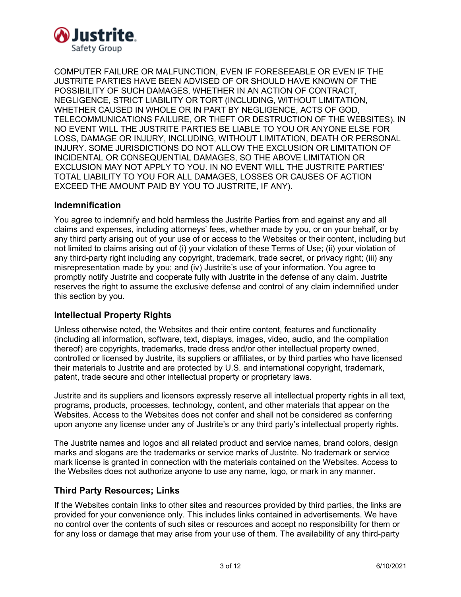

COMPUTER FAILURE OR MALFUNCTION, EVEN IF FORESEEABLE OR EVEN IF THE JUSTRITE PARTIES HAVE BEEN ADVISED OF OR SHOULD HAVE KNOWN OF THE POSSIBILITY OF SUCH DAMAGES, WHETHER IN AN ACTION OF CONTRACT, NEGLIGENCE, STRICT LIABILITY OR TORT (INCLUDING, WITHOUT LIMITATION, WHETHER CAUSED IN WHOLE OR IN PART BY NEGLIGENCE, ACTS OF GOD, TELECOMMUNICATIONS FAILURE, OR THEFT OR DESTRUCTION OF THE WEBSITES). IN NO EVENT WILL THE JUSTRITE PARTIES BE LIABLE TO YOU OR ANYONE ELSE FOR LOSS, DAMAGE OR INJURY, INCLUDING, WITHOUT LIMITATION, DEATH OR PERSONAL INJURY. SOME JURISDICTIONS DO NOT ALLOW THE EXCLUSION OR LIMITATION OF INCIDENTAL OR CONSEQUENTIAL DAMAGES, SO THE ABOVE LIMITATION OR EXCLUSION MAY NOT APPLY TO YOU. IN NO EVENT WILL THE JUSTRITE PARTIES' TOTAL LIABILITY TO YOU FOR ALL DAMAGES, LOSSES OR CAUSES OF ACTION EXCEED THE AMOUNT PAID BY YOU TO JUSTRITE, IF ANY).

### **Indemnification**

You agree to indemnify and hold harmless the Justrite Parties from and against any and all claims and expenses, including attorneys' fees, whether made by you, or on your behalf, or by any third party arising out of your use of or access to the Websites or their content, including but not limited to claims arising out of (i) your violation of these Terms of Use; (ii) your violation of any third-party right including any copyright, trademark, trade secret, or privacy right; (iii) any misrepresentation made by you; and (iv) Justrite's use of your information. You agree to promptly notify Justrite and cooperate fully with Justrite in the defense of any claim. Justrite reserves the right to assume the exclusive defense and control of any claim indemnified under this section by you.

## **Intellectual Property Rights**

Unless otherwise noted, the Websites and their entire content, features and functionality (including all information, software, text, displays, images, video, audio, and the compilation thereof) are copyrights, trademarks, trade dress and/or other intellectual property owned, controlled or licensed by Justrite, its suppliers or affiliates, or by third parties who have licensed their materials to Justrite and are protected by U.S. and international copyright, trademark, patent, trade secure and other intellectual property or proprietary laws.

Justrite and its suppliers and licensors expressly reserve all intellectual property rights in all text, programs, products, processes, technology, content, and other materials that appear on the Websites. Access to the Websites does not confer and shall not be considered as conferring upon anyone any license under any of Justrite's or any third party's intellectual property rights.

The Justrite names and logos and all related product and service names, brand colors, design marks and slogans are the trademarks or service marks of Justrite. No trademark or service mark license is granted in connection with the materials contained on the Websites. Access to the Websites does not authorize anyone to use any name, logo, or mark in any manner.

### **Third Party Resources; Links**

If the Websites contain links to other sites and resources provided by third parties, the links are provided for your convenience only. This includes links contained in advertisements. We have no control over the contents of such sites or resources and accept no responsibility for them or for any loss or damage that may arise from your use of them. The availability of any third-party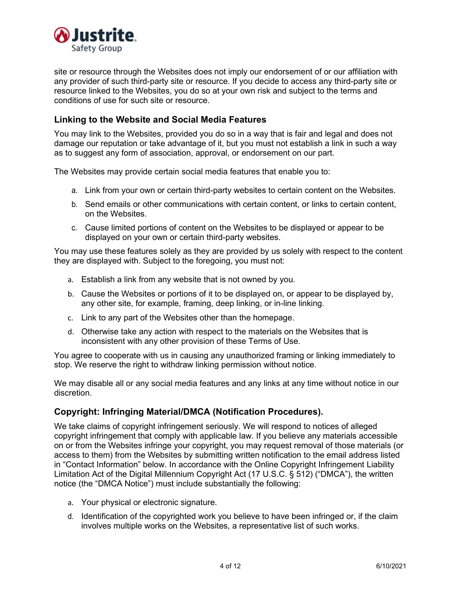

site or resource through the Websites does not imply our endorsement of or our affiliation with any provider of such third-party site or resource. If you decide to access any third-party site or resource linked to the Websites, you do so at your own risk and subject to the terms and conditions of use for such site or resource.

## **Linking to the Website and Social Media Features**

You may link to the Websites, provided you do so in a way that is fair and legal and does not damage our reputation or take advantage of it, but you must not establish a link in such a way as to suggest any form of association, approval, or endorsement on our part.

The Websites may provide certain social media features that enable you to:

- a. Link from your own or certain third-party websites to certain content on the Websites.
- b. Send emails or other communications with certain content, or links to certain content, on the Websites.
- c. Cause limited portions of content on the Websites to be displayed or appear to be displayed on your own or certain third-party websites.

You may use these features solely as they are provided by us solely with respect to the content they are displayed with. Subject to the foregoing, you must not:

- a. Establish a link from any website that is not owned by you.
- b. Cause the Websites or portions of it to be displayed on, or appear to be displayed by, any other site, for example, framing, deep linking, or in-line linking.
- c. Link to any part of the Websites other than the homepage.
- d. Otherwise take any action with respect to the materials on the Websites that is inconsistent with any other provision of these Terms of Use.

You agree to cooperate with us in causing any unauthorized framing or linking immediately to stop. We reserve the right to withdraw linking permission without notice.

We may disable all or any social media features and any links at any time without notice in our discretion.

### **Copyright: Infringing Material/DMCA (Notification Procedures).**

We take claims of copyright infringement seriously. We will respond to notices of alleged copyright infringement that comply with applicable law. If you believe any materials accessible on or from the Websites infringe your copyright, you may request removal of those materials (or access to them) from the Websites by submitting written notification to the email address listed in "Contact Information" below. In accordance with the Online Copyright Infringement Liability Limitation Act of the Digital Millennium Copyright Act (17 U.S.C. § 512) ("DMCA"), the written notice (the "DMCA Notice") must include substantially the following:

- a. Your physical or electronic signature.
- d. Identification of the copyrighted work you believe to have been infringed or, if the claim involves multiple works on the Websites, a representative list of such works.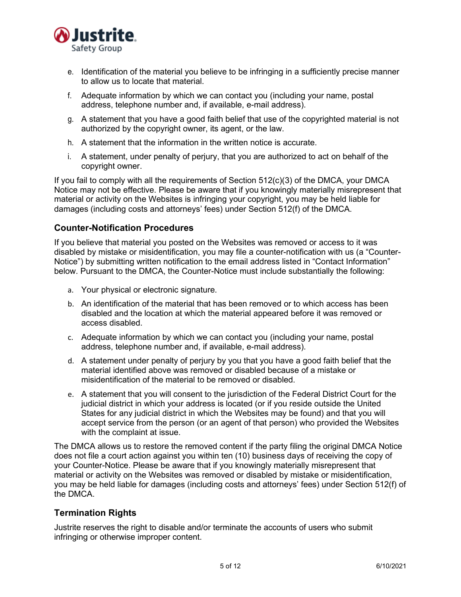

- e. Identification of the material you believe to be infringing in a sufficiently precise manner to allow us to locate that material.
- f. Adequate information by which we can contact you (including your name, postal address, telephone number and, if available, e-mail address).
- g. A statement that you have a good faith belief that use of the copyrighted material is not authorized by the copyright owner, its agent, or the law.
- h. A statement that the information in the written notice is accurate.
- i. A statement, under penalty of perjury, that you are authorized to act on behalf of the copyright owner.

If you fail to comply with all the requirements of Section 512(c)(3) of the DMCA, your DMCA Notice may not be effective. Please be aware that if you knowingly materially misrepresent that material or activity on the Websites is infringing your copyright, you may be held liable for damages (including costs and attorneys' fees) under Section 512(f) of the DMCA.

### **Counter-Notification Procedures**

If you believe that material you posted on the Websites was removed or access to it was disabled by mistake or misidentification, you may file a counter-notification with us (a "Counter-Notice") by submitting written notification to the email address listed in "Contact Information" below. Pursuant to the DMCA, the Counter-Notice must include substantially the following:

- a. Your physical or electronic signature.
- b. An identification of the material that has been removed or to which access has been disabled and the location at which the material appeared before it was removed or access disabled.
- c. Adequate information by which we can contact you (including your name, postal address, telephone number and, if available, e-mail address).
- d. A statement under penalty of perjury by you that you have a good faith belief that the material identified above was removed or disabled because of a mistake or misidentification of the material to be removed or disabled.
- e. A statement that you will consent to the jurisdiction of the Federal District Court for the judicial district in which your address is located (or if you reside outside the United States for any judicial district in which the Websites may be found) and that you will accept service from the person (or an agent of that person) who provided the Websites with the complaint at issue.

The DMCA allows us to restore the removed content if the party filing the original DMCA Notice does not file a court action against you within ten (10) business days of receiving the copy of your Counter-Notice. Please be aware that if you knowingly materially misrepresent that material or activity on the Websites was removed or disabled by mistake or misidentification, you may be held liable for damages (including costs and attorneys' fees) under Section 512(f) of the DMCA.

## **Termination Rights**

Justrite reserves the right to disable and/or terminate the accounts of users who submit infringing or otherwise improper content.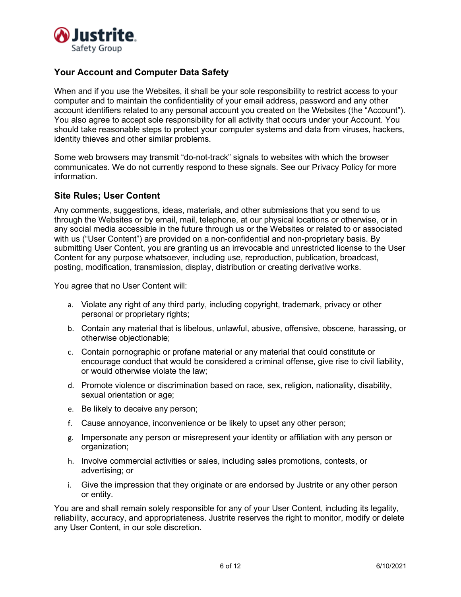

## **Your Account and Computer Data Safety**

When and if you use the Websites, it shall be your sole responsibility to restrict access to your computer and to maintain the confidentiality of your email address, password and any other account identifiers related to any personal account you created on the Websites (the "Account"). You also agree to accept sole responsibility for all activity that occurs under your Account. You should take reasonable steps to protect your computer systems and data from viruses, hackers, identity thieves and other similar problems.

Some web browsers may transmit "do-not-track" signals to websites with which the browser communicates. We do not currently respond to these signals. See our Privacy Policy for more information.

### **Site Rules; User Content**

Any comments, suggestions, ideas, materials, and other submissions that you send to us through the Websites or by email, mail, telephone, at our physical locations or otherwise, or in any social media accessible in the future through us or the Websites or related to or associated with us ("User Content") are provided on a non-confidential and non-proprietary basis. By submitting User Content, you are granting us an irrevocable and unrestricted license to the User Content for any purpose whatsoever, including use, reproduction, publication, broadcast, posting, modification, transmission, display, distribution or creating derivative works.

You agree that no User Content will:

- a. Violate any right of any third party, including copyright, trademark, privacy or other personal or proprietary rights;
- b. Contain any material that is libelous, unlawful, abusive, offensive, obscene, harassing, or otherwise objectionable;
- c. Contain pornographic or profane material or any material that could constitute or encourage conduct that would be considered a criminal offense, give rise to civil liability, or would otherwise violate the law;
- d. Promote violence or discrimination based on race, sex, religion, nationality, disability, sexual orientation or age;
- e. Be likely to deceive any person;
- f. Cause annoyance, inconvenience or be likely to upset any other person;
- g. Impersonate any person or misrepresent your identity or affiliation with any person or organization;
- h. Involve commercial activities or sales, including sales promotions, contests, or advertising; or
- i. Give the impression that they originate or are endorsed by Justrite or any other person or entity.

You are and shall remain solely responsible for any of your User Content, including its legality, reliability, accuracy, and appropriateness. Justrite reserves the right to monitor, modify or delete any User Content, in our sole discretion.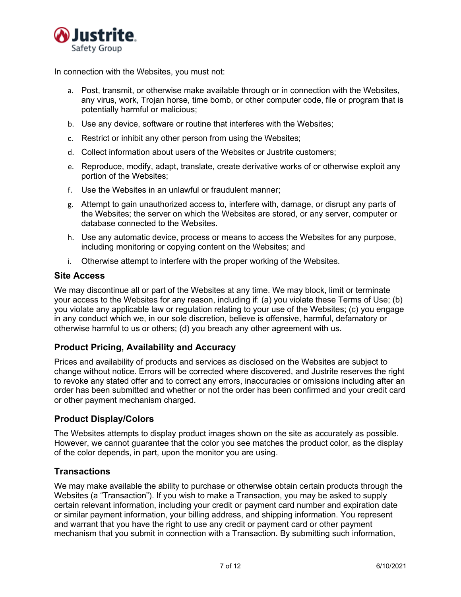

In connection with the Websites, you must not:

- a. Post, transmit, or otherwise make available through or in connection with the Websites, any virus, work, Trojan horse, time bomb, or other computer code, file or program that is potentially harmful or malicious;
- b. Use any device, software or routine that interferes with the Websites;
- c. Restrict or inhibit any other person from using the Websites;
- d. Collect information about users of the Websites or Justrite customers;
- e. Reproduce, modify, adapt, translate, create derivative works of or otherwise exploit any portion of the Websites;
- f. Use the Websites in an unlawful or fraudulent manner;
- g. Attempt to gain unauthorized access to, interfere with, damage, or disrupt any parts of the Websites; the server on which the Websites are stored, or any server, computer or database connected to the Websites.
- h. Use any automatic device, process or means to access the Websites for any purpose, including monitoring or copying content on the Websites; and
- i. Otherwise attempt to interfere with the proper working of the Websites.

### **Site Access**

We may discontinue all or part of the Websites at any time. We may block, limit or terminate your access to the Websites for any reason, including if: (a) you violate these Terms of Use; (b) you violate any applicable law or regulation relating to your use of the Websites; (c) you engage in any conduct which we, in our sole discretion, believe is offensive, harmful, defamatory or otherwise harmful to us or others; (d) you breach any other agreement with us.

# **Product Pricing, Availability and Accuracy**

Prices and availability of products and services as disclosed on the Websites are subject to change without notice. Errors will be corrected where discovered, and Justrite reserves the right to revoke any stated offer and to correct any errors, inaccuracies or omissions including after an order has been submitted and whether or not the order has been confirmed and your credit card or other payment mechanism charged.

### **Product Display/Colors**

The Websites attempts to display product images shown on the site as accurately as possible. However, we cannot guarantee that the color you see matches the product color, as the display of the color depends, in part, upon the monitor you are using.

### **Transactions**

We may make available the ability to purchase or otherwise obtain certain products through the Websites (a "Transaction"). If you wish to make a Transaction, you may be asked to supply certain relevant information, including your credit or payment card number and expiration date or similar payment information, your billing address, and shipping information. You represent and warrant that you have the right to use any credit or payment card or other payment mechanism that you submit in connection with a Transaction. By submitting such information,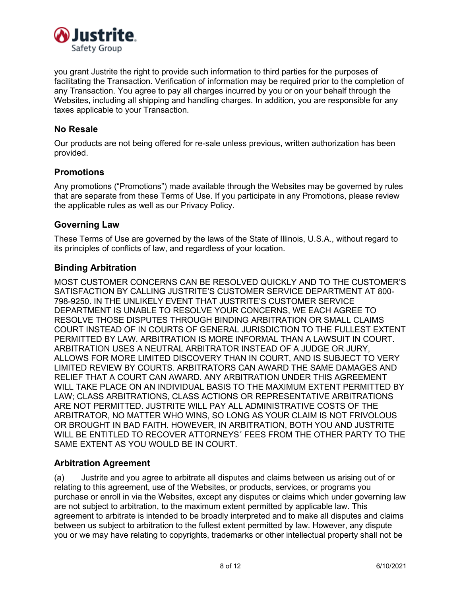

you grant Justrite the right to provide such information to third parties for the purposes of facilitating the Transaction. Verification of information may be required prior to the completion of any Transaction. You agree to pay all charges incurred by you or on your behalf through the Websites, including all shipping and handling charges. In addition, you are responsible for any taxes applicable to your Transaction.

### **No Resale**

Our products are not being offered for re-sale unless previous, written authorization has been provided.

### **Promotions**

Any promotions ("Promotions") made available through the Websites may be governed by rules that are separate from these Terms of Use. If you participate in any Promotions, please review the applicable rules as well as our Privacy Policy.

### **Governing Law**

These Terms of Use are governed by the laws of the State of Illinois, U.S.A., without regard to its principles of conflicts of law, and regardless of your location.

### **Binding Arbitration**

MOST CUSTOMER CONCERNS CAN BE RESOLVED QUICKLY AND TO THE CUSTOMER'S SATISFACTION BY CALLING JUSTRITE'S CUSTOMER SERVICE DEPARTMENT AT 800- 798-9250. IN THE UNLIKELY EVENT THAT JUSTRITE'S CUSTOMER SERVICE DEPARTMENT IS UNABLE TO RESOLVE YOUR CONCERNS, WE EACH AGREE TO RESOLVE THOSE DISPUTES THROUGH BINDING ARBITRATION OR SMALL CLAIMS COURT INSTEAD OF IN COURTS OF GENERAL JURISDICTION TO THE FULLEST EXTENT PERMITTED BY LAW. ARBITRATION IS MORE INFORMAL THAN A LAWSUIT IN COURT. ARBITRATION USES A NEUTRAL ARBITRATOR INSTEAD OF A JUDGE OR JURY, ALLOWS FOR MORE LIMITED DISCOVERY THAN IN COURT, AND IS SUBJECT TO VERY LIMITED REVIEW BY COURTS. ARBITRATORS CAN AWARD THE SAME DAMAGES AND RELIEF THAT A COURT CAN AWARD. ANY ARBITRATION UNDER THIS AGREEMENT WILL TAKE PLACE ON AN INDIVIDUAL BASIS TO THE MAXIMUM EXTENT PERMITTED BY LAW; CLASS ARBITRATIONS, CLASS ACTIONS OR REPRESENTATIVE ARBITRATIONS ARE NOT PERMITTED. JUSTRITE WILL PAY ALL ADMINISTRATIVE COSTS OF THE ARBITRATOR, NO MATTER WHO WINS, SO LONG AS YOUR CLAIM IS NOT FRIVOLOUS OR BROUGHT IN BAD FAITH. HOWEVER, IN ARBITRATION, BOTH YOU AND JUSTRITE WILL BE ENTITLED TO RECOVER ATTORNEYS´ FEES FROM THE OTHER PARTY TO THE SAME EXTENT AS YOU WOULD BE IN COURT.

### **Arbitration Agreement**

(a) Justrite and you agree to arbitrate all disputes and claims between us arising out of or relating to this agreement, use of the Websites, or products, services, or programs you purchase or enroll in via the Websites, except any disputes or claims which under governing law are not subject to arbitration, to the maximum extent permitted by applicable law. This agreement to arbitrate is intended to be broadly interpreted and to make all disputes and claims between us subject to arbitration to the fullest extent permitted by law. However, any dispute you or we may have relating to copyrights, trademarks or other intellectual property shall not be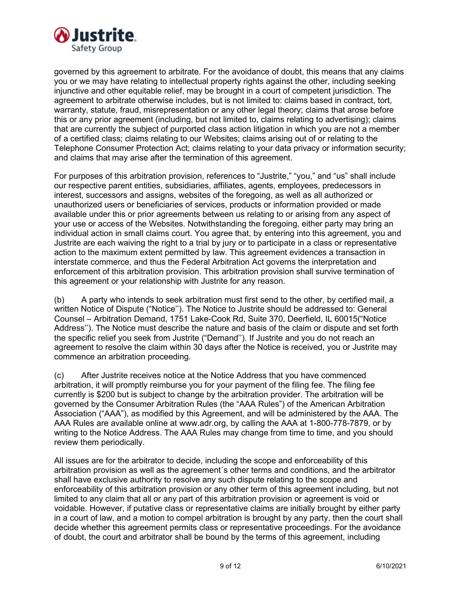

governed by this agreement to arbitrate. For the avoidance of doubt, this means that any claims you or we may have relating to intellectual property rights against the other, including seeking injunctive and other equitable relief, may be brought in a court of competent jurisdiction. The agreement to arbitrate otherwise includes, but is not limited to: claims based in contract, tort, warranty, statute, fraud, misrepresentation or any other legal theory; claims that arose before this or any prior agreement (including, but not limited to, claims relating to advertising); claims that are currently the subject of purported class action litigation in which you are not a member of a certified class; claims relating to our Websites; claims arising out of or relating to the Telephone Consumer Protection Act; claims relating to your data privacy or information security; and claims that may arise after the termination of this agreement.

For purposes of this arbitration provision, references to "Justrite," "you," and "us" shall include our respective parent entities, subsidiaries, affiliates, agents, employees, predecessors in interest, successors and assigns, websites of the foregoing, as well as all authorized or unauthorized users or beneficiaries of services, products or information provided or made available under this or prior agreements between us relating to or arising from any aspect of your use or access of the Websites. Notwithstanding the foregoing, either party may bring an individual action in small claims court. You agree that, by entering into this agreement, you and Justrite are each waiving the right to a trial by jury or to participate in a class or representative action to the maximum extent permitted by law. This agreement evidences a transaction in interstate commerce, and thus the Federal Arbitration Act governs the interpretation and enforcement of this arbitration provision. This arbitration provision shall survive termination of this agreement or your relationship with Justrite for any reason.

(b) A party who intends to seek arbitration must first send to the other, by certified mail, a written Notice of Dispute ("Notice''). The Notice to Justrite should be addressed to: General Counsel – Arbitration Demand, 1751 Lake-Cook Rd, Suite 370, Deerfield, IL 60015("Notice Address''). The Notice must describe the nature and basis of the claim or dispute and set forth the specific relief you seek from Justrite ("Demand''). If Justrite and you do not reach an agreement to resolve the claim within 30 days after the Notice is received, you or Justrite may commence an arbitration proceeding.

(c) After Justrite receives notice at the Notice Address that you have commenced arbitration, it will promptly reimburse you for your payment of the filing fee. The filing fee currently is \$200 but is subject to change by the arbitration provider. The arbitration will be governed by the Consumer Arbitration Rules (the "AAA Rules") of the American Arbitration Association ("AAA"), as modified by this Agreement, and will be administered by the AAA. The AAA Rules are available online at www.adr.org, by calling the AAA at 1-800-778-7879, or by writing to the Notice Address. The AAA Rules may change from time to time, and you should review them periodically.

All issues are for the arbitrator to decide, including the scope and enforceability of this arbitration provision as well as the agreement´s other terms and conditions, and the arbitrator shall have exclusive authority to resolve any such dispute relating to the scope and enforceability of this arbitration provision or any other term of this agreement including, but not limited to any claim that all or any part of this arbitration provision or agreement is void or voidable. However, if putative class or representative claims are initially brought by either party in a court of law, and a motion to compel arbitration is brought by any party, then the court shall decide whether this agreement permits class or representative proceedings. For the avoidance of doubt, the court and arbitrator shall be bound by the terms of this agreement, including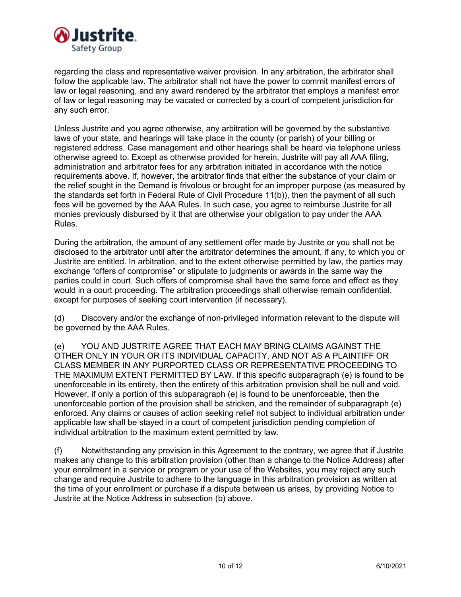

regarding the class and representative waiver provision. In any arbitration, the arbitrator shall follow the applicable law. The arbitrator shall not have the power to commit manifest errors of law or legal reasoning, and any award rendered by the arbitrator that employs a manifest error of law or legal reasoning may be vacated or corrected by a court of competent jurisdiction for any such error.

Unless Justrite and you agree otherwise, any arbitration will be governed by the substantive laws of your state, and hearings will take place in the county (or parish) of your billing or registered address. Case management and other hearings shall be heard via telephone unless otherwise agreed to. Except as otherwise provided for herein, Justrite will pay all AAA filing, administration and arbitrator fees for any arbitration initiated in accordance with the notice requirements above. If, however, the arbitrator finds that either the substance of your claim or the relief sought in the Demand is frivolous or brought for an improper purpose (as measured by the standards set forth in Federal Rule of Civil Procedure 11(b)), then the payment of all such fees will be governed by the AAA Rules. In such case, you agree to reimburse Justrite for all monies previously disbursed by it that are otherwise your obligation to pay under the AAA Rules.

During the arbitration, the amount of any settlement offer made by Justrite or you shall not be disclosed to the arbitrator until after the arbitrator determines the amount, if any, to which you or Justrite are entitled. In arbitration, and to the extent otherwise permitted by law, the parties may exchange "offers of compromise" or stipulate to judgments or awards in the same way the parties could in court. Such offers of compromise shall have the same force and effect as they would in a court proceeding. The arbitration proceedings shall otherwise remain confidential, except for purposes of seeking court intervention (if necessary).

(d) Discovery and/or the exchange of non-privileged information relevant to the dispute will be governed by the AAA Rules.

(e) YOU AND JUSTRITE AGREE THAT EACH MAY BRING CLAIMS AGAINST THE OTHER ONLY IN YOUR OR ITS INDIVIDUAL CAPACITY, AND NOT AS A PLAINTIFF OR CLASS MEMBER IN ANY PURPORTED CLASS OR REPRESENTATIVE PROCEEDING TO THE MAXIMUM EXTENT PERMITTED BY LAW. If this specific subparagraph (e) is found to be unenforceable in its entirety, then the entirety of this arbitration provision shall be null and void. However, if only a portion of this subparagraph (e) is found to be unenforceable, then the unenforceable portion of the provision shall be stricken, and the remainder of subparagraph (e) enforced. Any claims or causes of action seeking relief not subject to individual arbitration under applicable law shall be stayed in a court of competent jurisdiction pending completion of individual arbitration to the maximum extent permitted by law.

(f) Notwithstanding any provision in this Agreement to the contrary, we agree that if Justrite makes any change to this arbitration provision (other than a change to the Notice Address) after your enrollment in a service or program or your use of the Websites, you may reject any such change and require Justrite to adhere to the language in this arbitration provision as written at the time of your enrollment or purchase if a dispute between us arises, by providing Notice to Justrite at the Notice Address in subsection (b) above.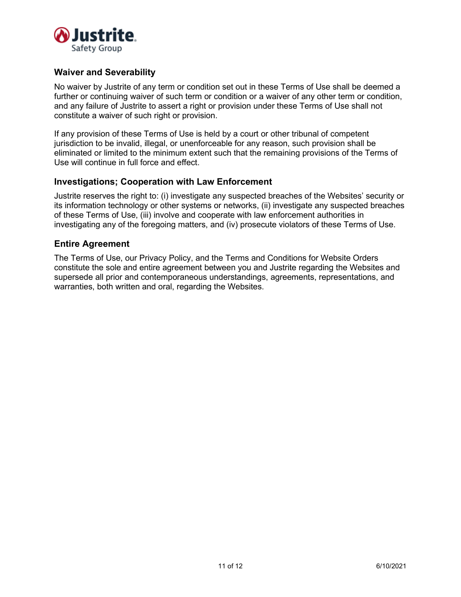

## **Waiver and Severability**

No waiver by Justrite of any term or condition set out in these Terms of Use shall be deemed a further or continuing waiver of such term or condition or a waiver of any other term or condition, and any failure of Justrite to assert a right or provision under these Terms of Use shall not constitute a waiver of such right or provision.

If any provision of these Terms of Use is held by a court or other tribunal of competent jurisdiction to be invalid, illegal, or unenforceable for any reason, such provision shall be eliminated or limited to the minimum extent such that the remaining provisions of the Terms of Use will continue in full force and effect.

#### **Investigations; Cooperation with Law Enforcement**

Justrite reserves the right to: (i) investigate any suspected breaches of the Websites' security or its information technology or other systems or networks, (ii) investigate any suspected breaches of these Terms of Use, (iii) involve and cooperate with law enforcement authorities in investigating any of the foregoing matters, and (iv) prosecute violators of these Terms of Use.

#### **Entire Agreement**

The Terms of Use, our Privacy Policy, and the Terms and Conditions for Website Orders constitute the sole and entire agreement between you and Justrite regarding the Websites and supersede all prior and contemporaneous understandings, agreements, representations, and warranties, both written and oral, regarding the Websites.